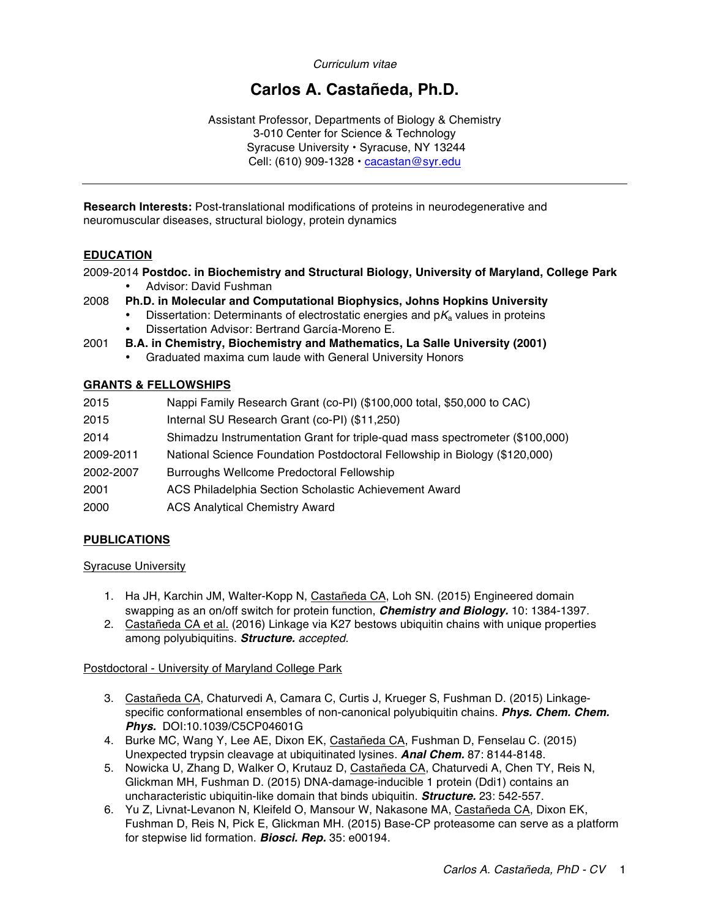*Curriculum vitae*

# **Carlos A. Castañeda, Ph.D.**

Assistant Professor, Departments of Biology & Chemistry 3-010 Center for Science & Technology Syracuse University • Syracuse, NY 13244 Cell: (610) 909-1328 • cacastan@syr.edu

**Research Interests:** Post-translational modifications of proteins in neurodegenerative and neuromuscular diseases, structural biology, protein dynamics

# **EDUCATION**

2009-2014 **Postdoc. in Biochemistry and Structural Biology, University of Maryland, College Park** • Advisor: David Fushman

- 2008 **Ph.D. in Molecular and Computational Biophysics, Johns Hopkins University**
	- Dissertation: Determinants of electrostatic energies and  $pK_a$  values in proteins
	- Dissertation Advisor: Bertrand García-Moreno E.
- 2001 **B.A. in Chemistry, Biochemistry and Mathematics, La Salle University (2001)**
	- Graduated maxima cum laude with General University Honors

#### **GRANTS & FELLOWSHIPS**

| Nappi Family Research Grant (co-PI) (\$100,000 total, \$50,000 to CAC)<br>2015          |  |
|-----------------------------------------------------------------------------------------|--|
| Internal SU Research Grant (co-PI) (\$11,250)<br>2015                                   |  |
| Shimadzu Instrumentation Grant for triple-quad mass spectrometer (\$100,000)<br>2014    |  |
| National Science Foundation Postdoctoral Fellowship in Biology (\$120,000)<br>2009-2011 |  |
| Burroughs Wellcome Predoctoral Fellowship<br>2002-2007                                  |  |
| ACS Philadelphia Section Scholastic Achievement Award<br>2001                           |  |
| <b>ACS Analytical Chemistry Award</b><br>2000                                           |  |

# **PUBLICATIONS**

#### Syracuse University

- 1. Ha JH, Karchin JM, Walter-Kopp N, Castañeda CA, Loh SN. (2015) Engineered domain swapping as an on/off switch for protein function, *Chemistry and Biology.* 10: 1384-1397.
- 2. Castañeda CA et al. (2016) Linkage via K27 bestows ubiquitin chains with unique properties among polyubiquitins. *Structure. accepted.*

Postdoctoral - University of Maryland College Park

- 3. Castañeda CA, Chaturvedi A, Camara C, Curtis J, Krueger S, Fushman D. (2015) Linkagespecific conformational ensembles of non-canonical polyubiquitin chains. *Phys. Chem. Chem. Phys.* DOI:10.1039/C5CP04601G
- 4. Burke MC, Wang Y, Lee AE, Dixon EK, Castañeda CA, Fushman D, Fenselau C. (2015) Unexpected trypsin cleavage at ubiquitinated lysines. *Anal Chem.* 87: 8144-8148.
- 5. Nowicka U, Zhang D, Walker O, Krutauz D, Castañeda CA, Chaturvedi A, Chen TY, Reis N, Glickman MH, Fushman D. (2015) DNA-damage-inducible 1 protein (Ddi1) contains an uncharacteristic ubiquitin-like domain that binds ubiquitin. *Structure.* 23: 542-557.
- 6. Yu Z, Livnat-Levanon N, Kleifeld O, Mansour W, Nakasone MA, Castañeda CA, Dixon EK, Fushman D, Reis N, Pick E, Glickman MH. (2015) Base-CP proteasome can serve as a platform for stepwise lid formation. *Biosci. Rep.* 35: e00194.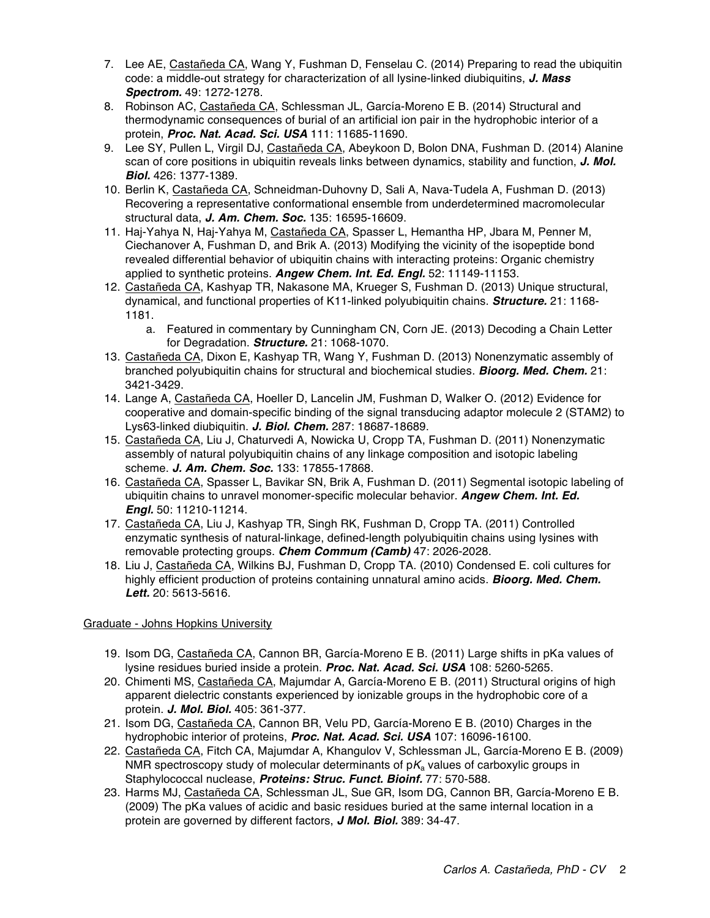- 7. Lee AE, Castañeda CA, Wang Y, Fushman D, Fenselau C. (2014) Preparing to read the ubiquitin code: a middle-out strategy for characterization of all lysine-linked diubiquitins, *J. Mass Spectrom.* 49: 1272-1278.
- 8. Robinson AC, Castañeda CA, Schlessman JL, García-Moreno E B. (2014) Structural and thermodynamic consequences of burial of an artificial ion pair in the hydrophobic interior of a protein, *Proc. Nat. Acad. Sci. USA* 111: 11685-11690.
- 9. Lee SY, Pullen L, Virgil DJ, Castañeda CA, Abeykoon D, Bolon DNA, Fushman D. (2014) Alanine scan of core positions in ubiquitin reveals links between dynamics, stability and function, *J. Mol. Biol.* 426: 1377-1389.
- 10. Berlin K, Castañeda CA, Schneidman-Duhovny D, Sali A, Nava-Tudela A, Fushman D. (2013) Recovering a representative conformational ensemble from underdetermined macromolecular structural data, *J. Am. Chem. Soc.* 135: 16595-16609.
- 11. Haj-Yahya N, Haj-Yahya M, Castañeda CA, Spasser L, Hemantha HP, Jbara M, Penner M, Ciechanover A, Fushman D, and Brik A. (2013) Modifying the vicinity of the isopeptide bond revealed differential behavior of ubiquitin chains with interacting proteins: Organic chemistry applied to synthetic proteins. *Angew Chem. Int. Ed. Engl.* 52: 11149-11153.
- 12. Castañeda CA, Kashyap TR, Nakasone MA, Krueger S, Fushman D. (2013) Unique structural, dynamical, and functional properties of K11-linked polyubiquitin chains. *Structure.* 21: 1168- 1181.
	- a. Featured in commentary by Cunningham CN, Corn JE. (2013) Decoding a Chain Letter for Degradation. *Structure.* 21: 1068-1070.
- 13. Castañeda CA, Dixon E, Kashyap TR, Wang Y, Fushman D. (2013) Nonenzymatic assembly of branched polyubiquitin chains for structural and biochemical studies. *Bioorg. Med. Chem.* 21: 3421-3429.
- 14. Lange A, Castañeda CA, Hoeller D, Lancelin JM, Fushman D, Walker O. (2012) Evidence for cooperative and domain-specific binding of the signal transducing adaptor molecule 2 (STAM2) to Lys63-linked diubiquitin. *J. Biol. Chem.* 287: 18687-18689.
- 15. Castañeda CA, Liu J, Chaturvedi A, Nowicka U, Cropp TA, Fushman D. (2011) Nonenzymatic assembly of natural polyubiquitin chains of any linkage composition and isotopic labeling scheme. *J. Am. Chem. Soc.* 133: 17855-17868.
- 16. Castañeda CA, Spasser L, Bavikar SN, Brik A, Fushman D. (2011) Segmental isotopic labeling of ubiquitin chains to unravel monomer-specific molecular behavior. *Angew Chem. Int. Ed. Engl.* 50: 11210-11214.
- 17. Castañeda CA, Liu J, Kashyap TR, Singh RK, Fushman D, Cropp TA. (2011) Controlled enzymatic synthesis of natural-linkage, defined-length polyubiquitin chains using lysines with removable protecting groups. *Chem Commum (Camb)* 47: 2026-2028.
- 18. Liu J, Castañeda CA, Wilkins BJ, Fushman D, Cropp TA. (2010) Condensed E. coli cultures for highly efficient production of proteins containing unnatural amino acids. *Bioorg. Med. Chem. Lett.* 20: 5613-5616.

# Graduate - Johns Hopkins University

- 19. Isom DG, Castañeda CA, Cannon BR, García-Moreno E B. (2011) Large shifts in pKa values of lysine residues buried inside a protein. *Proc. Nat. Acad. Sci. USA* 108: 5260-5265.
- 20. Chimenti MS, Castañeda CA, Majumdar A, García-Moreno E B. (2011) Structural origins of high apparent dielectric constants experienced by ionizable groups in the hydrophobic core of a protein. *J. Mol. Biol.* 405: 361-377.
- 21. Isom DG, Castañeda CA, Cannon BR, Velu PD, García-Moreno E B. (2010) Charges in the hydrophobic interior of proteins, *Proc. Nat. Acad. Sci. USA* 107: 16096-16100.
- 22. Castañeda CA, Fitch CA, Majumdar A, Khangulov V, Schlessman JL, García-Moreno E B. (2009) NMR spectroscopy study of molecular determinants of p*K*<sup>a</sup> values of carboxylic groups in Staphylococcal nuclease, *Proteins: Struc. Funct. Bioinf.* 77: 570-588.
- 23. Harms MJ, Castañeda CA, Schlessman JL, Sue GR, Isom DG, Cannon BR, García-Moreno E B. (2009) The pKa values of acidic and basic residues buried at the same internal location in a protein are governed by different factors, *J Mol. Biol.* 389: 34-47.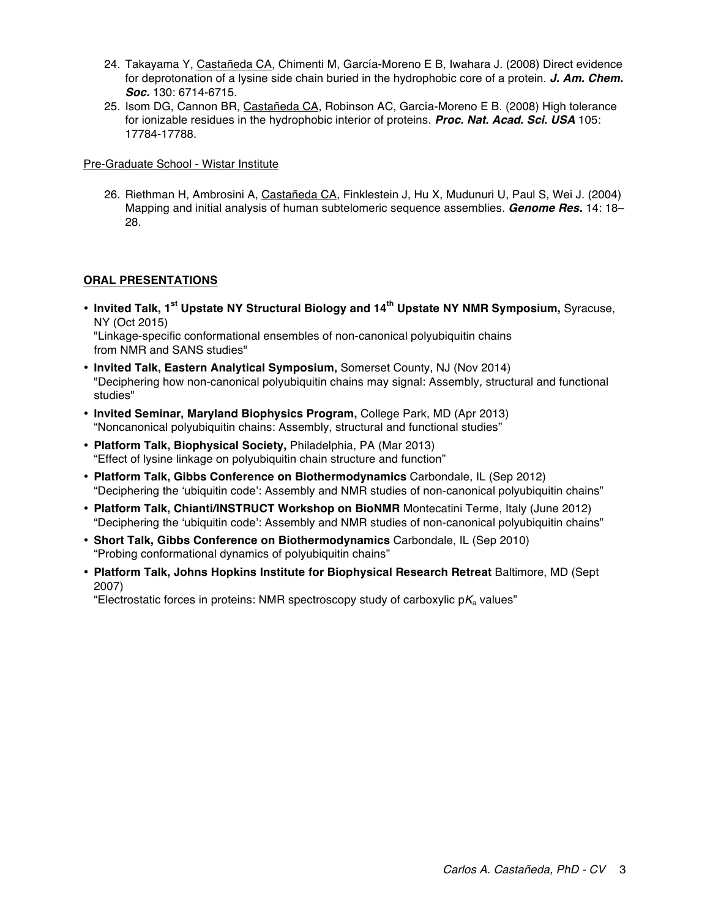- 24. Takayama Y, Castañeda CA, Chimenti M, García-Moreno E B, Iwahara J. (2008) Direct evidence for deprotonation of a lysine side chain buried in the hydrophobic core of a protein. *J. Am. Chem. Soc.* 130: 6714-6715.
- 25. Isom DG, Cannon BR, Castañeda CA, Robinson AC, García-Moreno E B. (2008) High tolerance for ionizable residues in the hydrophobic interior of proteins. *Proc. Nat. Acad. Sci. USA* 105: 17784-17788.

Pre-Graduate School - Wistar Institute

26. Riethman H, Ambrosini A, Castañeda CA, Finklestein J, Hu X, Mudunuri U, Paul S, Wei J. (2004) Mapping and initial analysis of human subtelomeric sequence assemblies. *Genome Res.* 14: 18– 28.

# **ORAL PRESENTATIONS**

• **Invited Talk, 1st Upstate NY Structural Biology and 14th Upstate NY NMR Symposium,** Syracuse, NY (Oct 2015) "Linkage-specific conformational ensembles of non-canonical polyubiquitin chains

from NMR and SANS studies"

- **Invited Talk, Eastern Analytical Symposium,** Somerset County, NJ (Nov 2014) "Deciphering how non-canonical polyubiquitin chains may signal: Assembly, structural and functional studies"
- **Invited Seminar, Maryland Biophysics Program,** College Park, MD (Apr 2013) "Noncanonical polyubiquitin chains: Assembly, structural and functional studies"
- **Platform Talk, Biophysical Society,** Philadelphia, PA (Mar 2013) "Effect of lysine linkage on polyubiquitin chain structure and function"
- **Platform Talk, Gibbs Conference on Biothermodynamics** Carbondale, IL (Sep 2012) "Deciphering the 'ubiquitin code': Assembly and NMR studies of non-canonical polyubiquitin chains"
- **Platform Talk, Chianti/INSTRUCT Workshop on BioNMR** Montecatini Terme, Italy (June 2012) "Deciphering the 'ubiquitin code': Assembly and NMR studies of non-canonical polyubiquitin chains"
- **Short Talk, Gibbs Conference on Biothermodynamics** Carbondale, IL (Sep 2010) "Probing conformational dynamics of polyubiquitin chains"
- **Platform Talk, Johns Hopkins Institute for Biophysical Research Retreat** Baltimore, MD (Sept 2007)

"Electrostatic forces in proteins: NMR spectroscopy study of carboxylic p*K*<sup>a</sup> values"